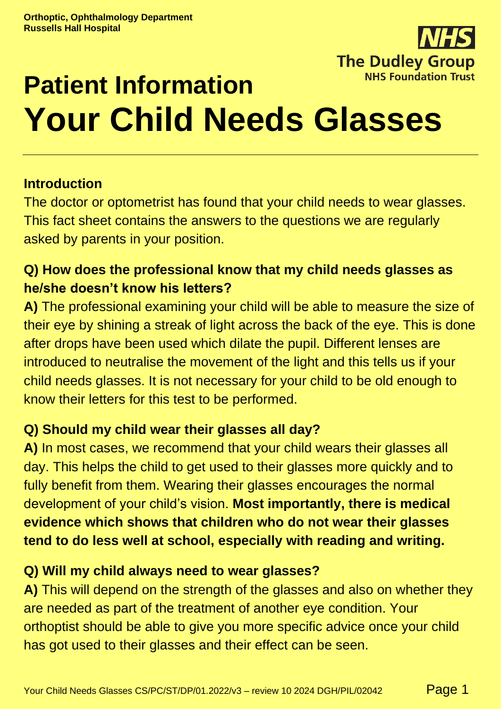

# **Patient Information Your Child Needs Glasses**

# **Introduction**

The doctor or optometrist has found that your child needs to wear glasses. This fact sheet contains the answers to the questions we are regularly asked by parents in your position.

# **Q) How does the professional know that my child needs glasses as he/she doesn't know his letters?**

**A)** The professional examining your child will be able to measure the size of their eye by shining a streak of light across the back of the eye. This is done after drops have been used which dilate the pupil. Different lenses are introduced to neutralise the movement of the light and this tells us if your child needs glasses. It is not necessary for your child to be old enough to know their letters for this test to be performed.

#### **Q) Should my child wear their glasses all day?**

**A)** In most cases, we recommend that your child wears their glasses all day. This helps the child to get used to their glasses more quickly and to fully benefit from them. Wearing their glasses encourages the normal development of your child's vision. **Most importantly, there is medical evidence which shows that children who do not wear their glasses tend to do less well at school, especially with reading and writing.**

# **Q) Will my child always need to wear glasses?**

**A)** This will depend on the strength of the glasses and also on whether they are needed as part of the treatment of another eye condition. Your orthoptist should be able to give you more specific advice once your child has got used to their glasses and their effect can be seen.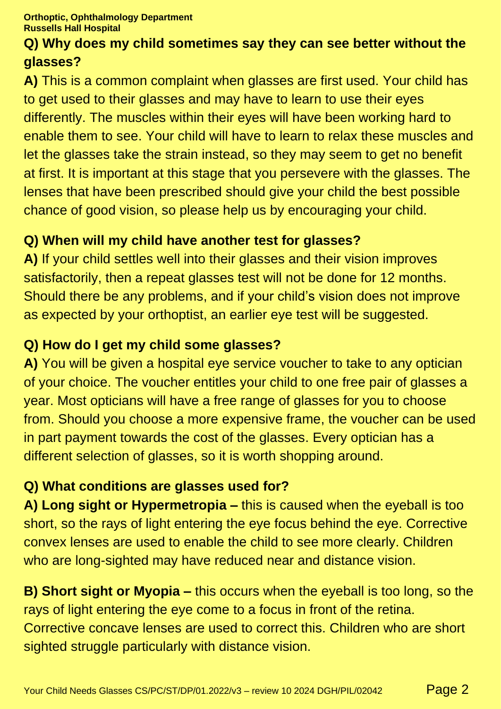## **Q) Why does my child sometimes say they can see better without the glasses?**

**A)** This is a common complaint when glasses are first used. Your child has to get used to their glasses and may have to learn to use their eyes differently. The muscles within their eyes will have been working hard to enable them to see. Your child will have to learn to relax these muscles and let the glasses take the strain instead, so they may seem to get no benefit at first. It is important at this stage that you persevere with the glasses. The lenses that have been prescribed should give your child the best possible chance of good vision, so please help us by encouraging your child.

# **Q) When will my child have another test for glasses?**

**A)** If your child settles well into their glasses and their vision improves satisfactorily, then a repeat glasses test will not be done for 12 months. Should there be any problems, and if your child's vision does not improve as expected by your orthoptist, an earlier eye test will be suggested.

## **Q) How do I get my child some glasses?**

**A)** You will be given a hospital eye service voucher to take to any optician of your choice. The voucher entitles your child to one free pair of glasses a year. Most opticians will have a free range of glasses for you to choose from. Should you choose a more expensive frame, the voucher can be used in part payment towards the cost of the glasses. Every optician has a different selection of glasses, so it is worth shopping around.

# **Q) What conditions are glasses used for?**

**A) Long sight or Hypermetropia –** this is caused when the eyeball is too short, so the rays of light entering the eye focus behind the eye. Corrective convex lenses are used to enable the child to see more clearly. Children who are long-sighted may have reduced near and distance vision.

**B) Short sight or Myopia –** this occurs when the eyeball is too long, so the rays of light entering the eye come to a focus in front of the retina. Corrective concave lenses are used to correct this. Children who are short sighted struggle particularly with distance vision.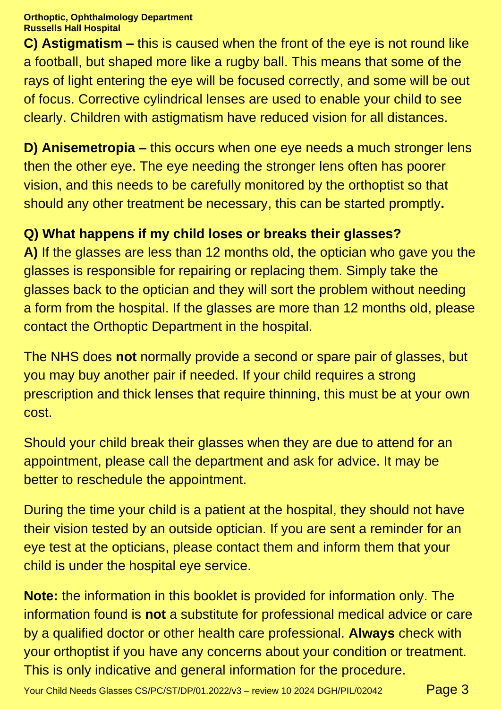**Orthoptic, Ophthalmology Department Russells Hall Hospital**

**C) Astigmatism –** this is caused when the front of the eye is not round like a football, but shaped more like a rugby ball. This means that some of the rays of light entering the eye will be focused correctly, and some will be out of focus. Corrective cylindrical lenses are used to enable your child to see clearly. Children with astigmatism have reduced vision for all distances.

**D) Anisemetropia –** this occurs when one eye needs a much stronger lens then the other eye. The eye needing the stronger lens often has poorer vision, and this needs to be carefully monitored by the orthoptist so that should any other treatment be necessary, this can be started promptly**.**

# **Q) What happens if my child loses or breaks their glasses?**

**A)** If the glasses are less than 12 months old, the optician who gave you the glasses is responsible for repairing or replacing them. Simply take the glasses back to the optician and they will sort the problem without needing a form from the hospital. If the glasses are more than 12 months old, please contact the Orthoptic Department in the hospital.

The NHS does **not** normally provide a second or spare pair of glasses, but you may buy another pair if needed. If your child requires a strong prescription and thick lenses that require thinning, this must be at your own cost.

Should your child break their glasses when they are due to attend for an appointment, please call the department and ask for advice. It may be better to reschedule the appointment.

During the time your child is a patient at the hospital, they should not have their vision tested by an outside optician. If you are sent a reminder for an eye test at the opticians, please contact them and inform them that your child is under the hospital eye service.

**Note:** the information in this booklet is provided for information only. The information found is **not** a substitute for professional medical advice or care by a qualified doctor or other health care professional. **Always** check with your orthoptist if you have any concerns about your condition or treatment. This is only indicative and general information for the procedure.

Your Child Needs Glasses CS/PC/ST/DP/01.2022/v3 – review 10 2024 DGH/PIL/02042  $Page 3$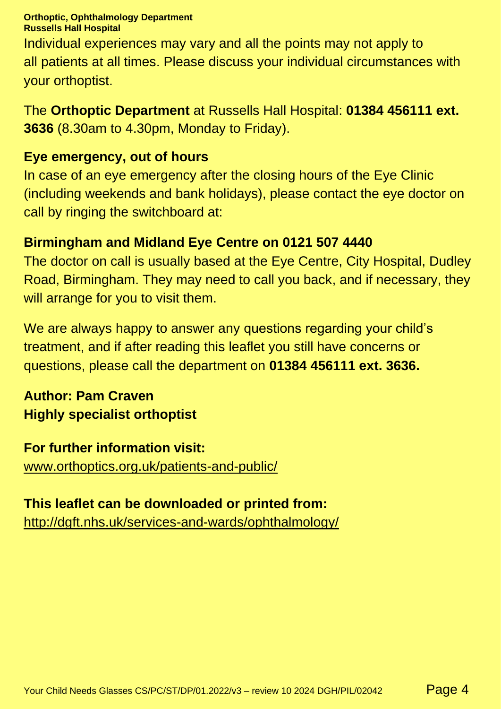**Orthoptic, Ophthalmology Department Russells Hall Hospital** Individual experiences may vary and all the points may not apply to all patients at all times. Please discuss your individual circumstances with your orthoptist.

The **Orthoptic Department** at Russells Hall Hospital: **01384 456111 ext. 3636** (8.30am to 4.30pm, Monday to Friday).

#### **Eye emergency, out of hours**

In case of an eye emergency after the closing hours of the Eye Clinic (including weekends and bank holidays), please contact the eye doctor on call by ringing the switchboard at:

#### **Birmingham and Midland Eye Centre on 0121 507 4440**

The doctor on call is usually based at the Eye Centre, City Hospital, Dudley Road, Birmingham. They may need to call you back, and if necessary, they will arrange for you to visit them.

We are always happy to answer any questions regarding your child's treatment, and if after reading this leaflet you still have concerns or questions, please call the department on **01384 456111 ext. 3636.**

# **Author: Pam Craven Highly specialist orthoptist**

**For further information visit:** [www.orthoptics.org.uk/patients-and-public/](https://www.orthoptics.org.uk/patients-and-public/)

#### **This leaflet can be downloaded or printed from:**

<http://dgft.nhs.uk/services-and-wards/ophthalmology/>